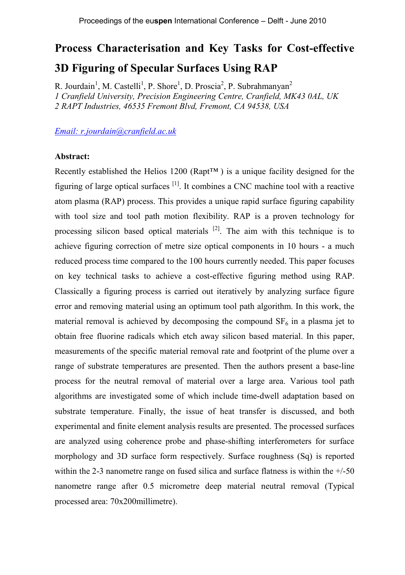# **Process Characterisation and Key Tasks for Cost-effective 3D Figuring of Specular Surfaces Using RAP**

R. Jourdain<sup>1</sup>, M. Castelli<sup>1</sup>, P. Shore<sup>1</sup>, D. Proscia<sup>2</sup>, P. Subrahmanyan<sup>2</sup> *1 Cranfield University, Precision Engineering Centre, Cranfield, MK43 0AL, UK 2 RAPT Industries, 46535 Fremont Blvd, Fremont, CA 94538, USA*

#### *Email: r.jourdain@cranfield.ac.uk*

#### **Abstract:**

Recently established the Helios 1200 (Rapt™ ) is a unique facility designed for the figuring of large optical surfaces  $^{[1]}$ . It combines a CNC machine tool with a reactive atom plasma (RAP) process. This provides a unique rapid surface figuring capability with tool size and tool path motion flexibility. RAP is a proven technology for processing silicon based optical materials <sup>[2]</sup>. The aim with this technique is to achieve figuring correction of metre size optical components in 10 hours - a much reduced process time compared to the 100 hours currently needed. This paper focuses on key technical tasks to achieve a cost-effective figuring method using RAP. Classically a figuring process is carried out iteratively by analyzing surface figure error and removing material using an optimum tool path algorithm. In this work, the material removal is achieved by decomposing the compound  $SF<sub>6</sub>$  in a plasma jet to obtain free fluorine radicals which etch away silicon based material. In this paper, measurements of the specific material removal rate and footprint of the plume over a range of substrate temperatures are presented. Then the authors present a base-line process for the neutral removal of material over a large area. Various tool path algorithms are investigated some of which include time-dwell adaptation based on substrate temperature. Finally, the issue of heat transfer is discussed, and both experimental and finite element analysis results are presented. The processed surfaces are analyzed using coherence probe and phase-shifting interferometers for surface morphology and 3D surface form respectively. Surface roughness (Sq) is reported within the 2-3 nanometre range on fused silica and surface flatness is within the  $+/50$ nanometre range after 0.5 micrometre deep material neutral removal (Typical processed area: 70x200millimetre).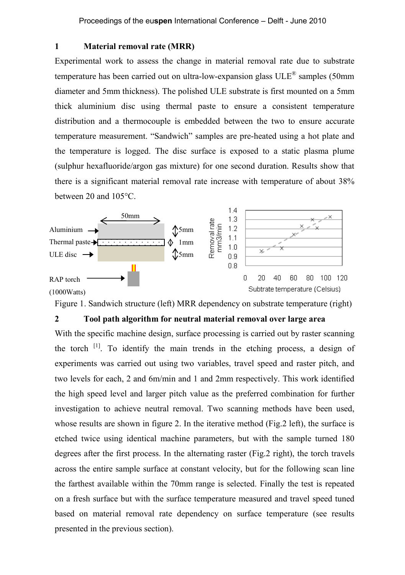## **1 Material removal rate (MRR)**

Experimental work to assess the change in material removal rate due to substrate temperature has been carried out on ultra-low-expansion glass  $ULE^{\circledast}$  samples (50mm diameter and 5mm thickness). The polished ULE substrate is first mounted on a 5mm thick aluminium disc using thermal paste to ensure a consistent temperature distribution and a thermocouple is embedded between the two to ensure accurate temperature measurement. "Sandwich" samples are pre-heated using a hot plate and the temperature is logged. The disc surface is exposed to a static plasma plume (sulphur hexafluoride/argon gas mixture) for one second duration. Results show that there is a significant material removal rate increase with temperature of about 38% between 20 and 105°C.



Figure 1. Sandwich structure (left) MRR dependency on substrate temperature (right)

## **2 Tool path algorithm for neutral material removal over large area**

With the specific machine design, surface processing is carried out by raster scanning the torch [1] . To identify the main trends in the etching process, a design of experiments was carried out using two variables, travel speed and raster pitch, and two levels for each, 2 and 6m/min and 1 and 2mm respectively. This work identified the high speed level and larger pitch value as the preferred combination for further investigation to achieve neutral removal. Two scanning methods have been used, whose results are shown in figure 2. In the iterative method (Fig.2 left), the surface is etched twice using identical machine parameters, but with the sample turned 180 degrees after the first process. In the alternating raster (Fig.2 right), the torch travels across the entire sample surface at constant velocity, but for the following scan line the farthest available within the 70mm range is selected. Finally the test is repeated on a fresh surface but with the surface temperature measured and travel speed tuned based on material removal rate dependency on surface temperature (see results presented in the previous section).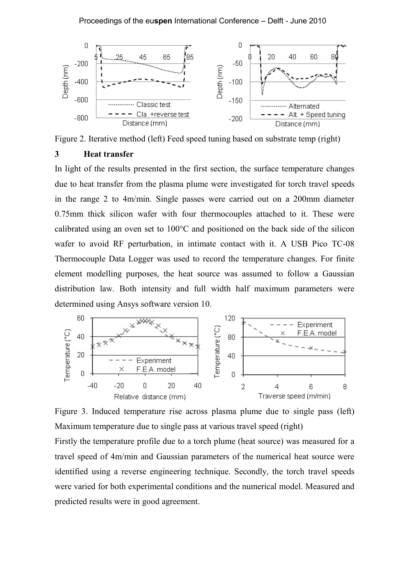

Figure 2. Iterative method (left) Feed speed tuning based on substrate temp (right)

## **3 Heat transfer**

In light of the results presented in the first section, the surface temperature changes due to heat transfer from the plasma plume were investigated for torch travel speeds in the range 2 to 4m/min. Single passes were carried out on a 200mm diameter 0.75mm thick silicon wafer with four thermocouples attached to it. These were calibrated using an oven set to 100°C and positioned on the back side of the silicon wafer to avoid RF perturbation, in intimate contact with it. A USB Pico TC-08 Thermocouple Data Logger was used to record the temperature changes. For finite element modelling purposes, the heat source was assumed to follow a Gaussian distribution law. Both intensity and full width half maximum parameters were determined using Ansys software version 10.



Figure 3. Induced temperature rise across plasma plume due to single pass (left) Maximum temperature due to single pass at various travel speed (right)

Firstly the temperature profile due to a torch plume (heat source) was measured for a travel speed of 4m/min and Gaussian parameters of the numerical heat source were identified using a reverse engineering technique. Secondly, the torch travel speeds were varied for both experimental conditions and the numerical model. Measured and predicted results were in good agreement.